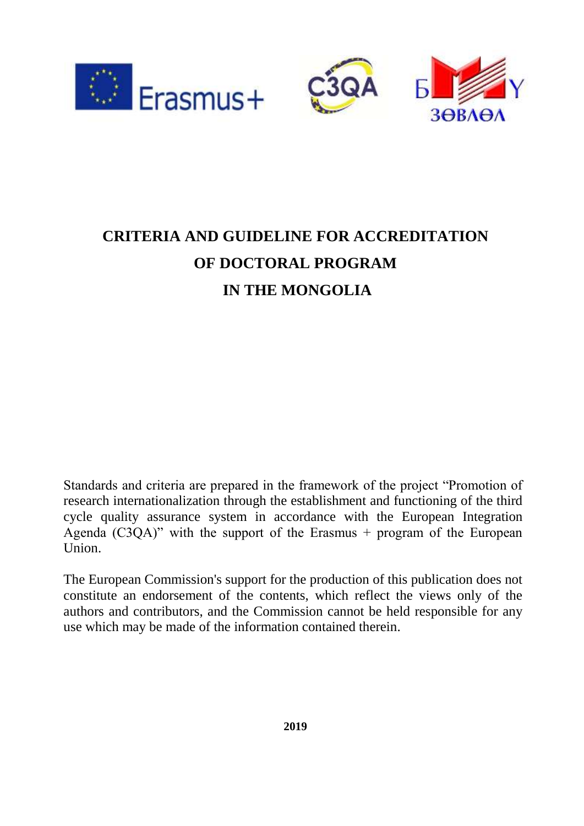

# **CRITERIA AND GUIDELINE FOR ACCREDITATION OF DOCTORAL PROGRAM IN THE MONGOLIA**

Standards and criteria are prepared in the framework of the project "Promotion of research internationalization through the establishment and functioning of the third cycle quality assurance system in accordance with the European Integration Agenda (C3QA)" with the support of the Erasmus  $+$  program of the European Union.

The European Commission's support for the production of this publication does not constitute an endorsement of the contents, which reflect the views only of the authors and contributors, and the Commission cannot be held responsible for any use which may be made of the information contained therein.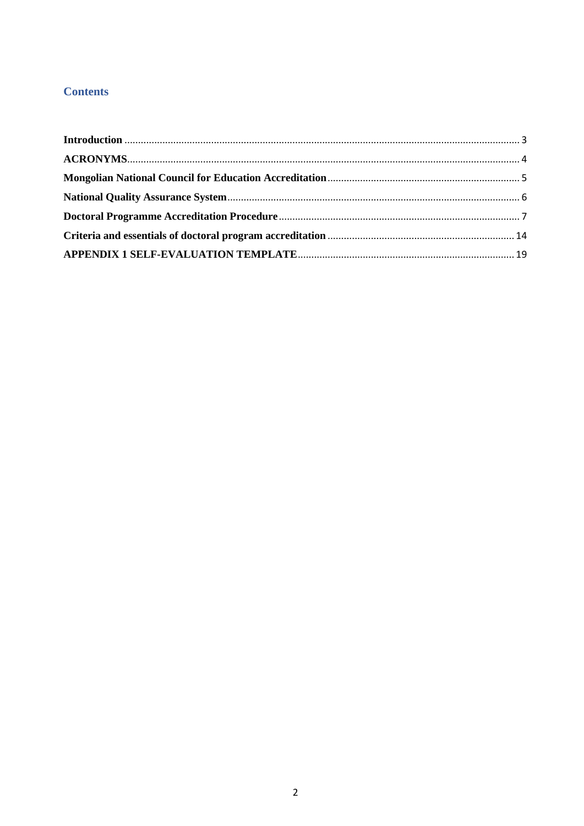# **Contents**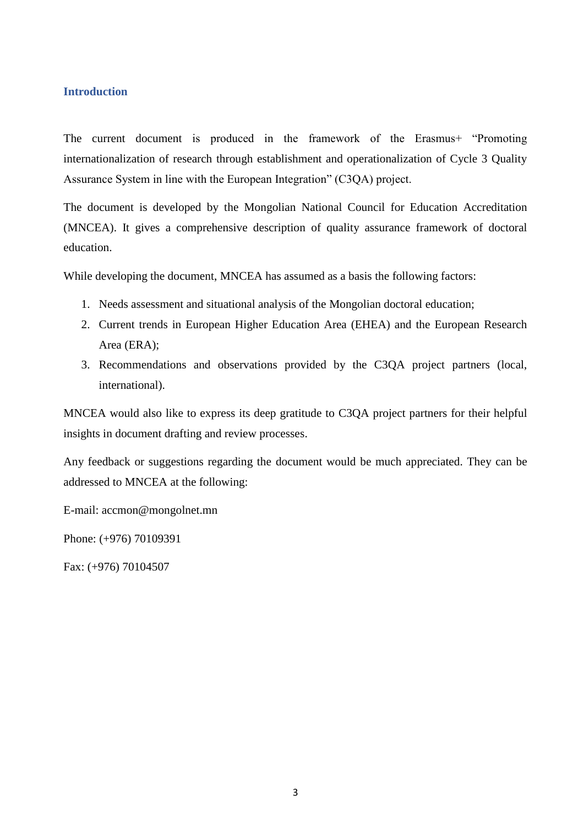# <span id="page-2-0"></span>**Introduction**

The current document is produced in the framework of the Erasmus+ "Promoting internationalization of research through establishment and operationalization of Cycle 3 Quality Assurance System in line with the European Integration" (C3QA) project.

The document is developed by the Mongolian National Council for Education Accreditation (MNCEA). It gives a comprehensive description of quality assurance framework of doctoral education.

While developing the document, MNCEA has assumed as a basis the following factors:

- 1. Needs assessment and situational analysis of the Mongolian doctoral education;
- 2. Current trends in European Higher Education Area (EHEA) and the European Research Area (ERA);
- 3. Recommendations and observations provided by the C3QA project partners (local, international).

MNCEA would also like to express its deep gratitude to C3QA project partners for their helpful insights in document drafting and review processes.

Any feedback or suggestions regarding the document would be much appreciated. They can be addressed to MNCEA at the following:

E-mail: accmon@mongolnet.mn

Phone: (+976) 70109391

Fax: (+976) 70104507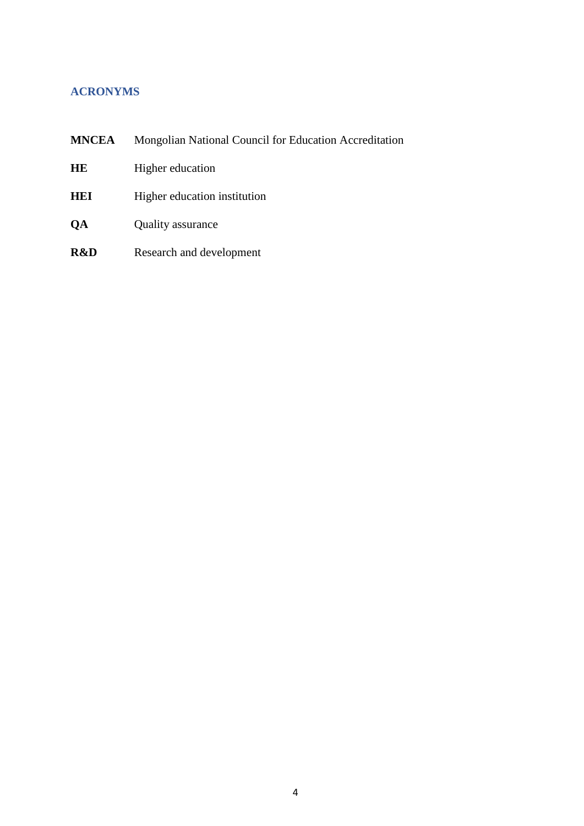# <span id="page-3-0"></span>**ACRONYMS**

| <b>MNCEA</b> | Mongolian National Council for Education Accreditation |  |  |
|--------------|--------------------------------------------------------|--|--|
| HE           | Higher education                                       |  |  |
| <b>HEI</b>   | Higher education institution                           |  |  |
| <b>OA</b>    | <b>Quality assurance</b>                               |  |  |
| R&D          | Research and development                               |  |  |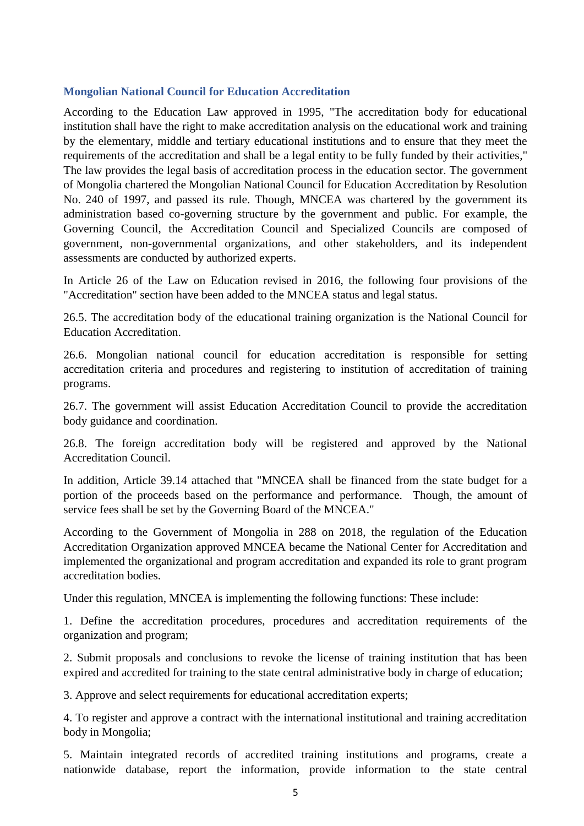# <span id="page-4-0"></span>**Mongolian National Council for Education Accreditation**

According to the Education Law approved in 1995, "The accreditation body for educational institution shall have the right to make accreditation analysis on the educational work and training by the elementary, middle and tertiary educational institutions and to ensure that they meet the requirements of the accreditation and shall be a legal entity to be fully funded by their activities," The law provides the legal basis of accreditation process in the education sector. The government of Mongolia chartered the Mongolian National Council for Education Accreditation by Resolution No. 240 of 1997, and passed its rule. Though, MNCEA was chartered by the government its administration based co-governing structure by the government and public. For example, the Governing Council, the Accreditation Council and Specialized Councils are composed of government, non-governmental organizations, and other stakeholders, and its independent assessments are conducted by authorized experts.

In Article 26 of the Law on Education revised in 2016, the following four provisions of the "Accreditation" section have been added to the MNCEA status and legal status.

26.5. The accreditation body of the educational training organization is the National Council for Education Accreditation.

26.6. Mongolian national council for education accreditation is responsible for setting accreditation criteria and procedures and registering to institution of accreditation of training programs.

26.7. The government will assist Education Accreditation Council to provide the accreditation body guidance and coordination.

26.8. The foreign accreditation body will be registered and approved by the National Accreditation Council.

In addition, Article 39.14 attached that "MNCEA shall be financed from the state budget for a portion of the proceeds based on the performance and performance. Though, the amount of service fees shall be set by the Governing Board of the MNCEA."

According to the Government of Mongolia in 288 on 2018, the regulation of the Education Accreditation Organization approved MNCEA became the National Center for Accreditation and implemented the organizational and program accreditation and expanded its role to grant program accreditation bodies.

Under this regulation, MNCEA is implementing the following functions: These include:

1. Define the accreditation procedures, procedures and accreditation requirements of the organization and program;

2. Submit proposals and conclusions to revoke the license of training institution that has been expired and accredited for training to the state central administrative body in charge of education;

3. Approve and select requirements for educational accreditation experts;

4. To register and approve a contract with the international institutional and training accreditation body in Mongolia;

5. Maintain integrated records of accredited training institutions and programs, create a nationwide database, report the information, provide information to the state central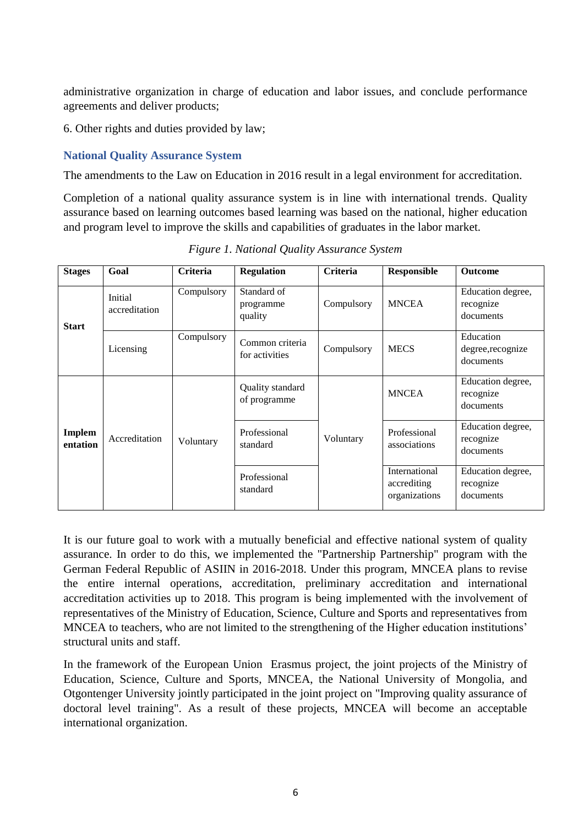administrative organization in charge of education and labor issues, and conclude performance agreements and deliver products;

6. Other rights and duties provided by law;

# <span id="page-5-0"></span>**National Quality Assurance System**

The amendments to the Law on Education in 2016 result in a legal environment for accreditation.

Completion of a national quality assurance system is in line with international trends. Quality assurance based on learning outcomes based learning was based on the national, higher education and program level to improve the skills and capabilities of graduates in the labor market.

| <b>Stages</b>      | Goal                     | <b>Criteria</b> | <b>Regulation</b>                   | <b>Criteria</b> | <b>Responsible</b>                            | <b>Outcome</b>                              |
|--------------------|--------------------------|-----------------|-------------------------------------|-----------------|-----------------------------------------------|---------------------------------------------|
| <b>Start</b>       | Initial<br>accreditation | Compulsory      | Standard of<br>programme<br>quality | Compulsory      | <b>MNCEA</b>                                  | Education degree,<br>recognize<br>documents |
|                    | Licensing                | Compulsory      | Common criteria<br>for activities   | Compulsory      | <b>MECS</b>                                   | Education<br>degree, recognize<br>documents |
| Implem<br>entation | Accreditation            | Voluntary       | Quality standard<br>of programme    | Voluntary       | <b>MNCEA</b>                                  | Education degree,<br>recognize<br>documents |
|                    |                          |                 | Professional<br>standard            |                 | Professional<br>associations                  | Education degree,<br>recognize<br>documents |
|                    |                          |                 | Professional<br>standard            |                 | International<br>accrediting<br>organizations | Education degree,<br>recognize<br>documents |

*Figure 1. National Quality Assurance System*

It is our future goal to work with a mutually beneficial and effective national system of quality assurance. In order to do this, we implemented the "Partnership Partnership" program with the German Federal Republic of ASIIN in 2016-2018. Under this program, MNCEA plans to revise the entire internal operations, accreditation, preliminary accreditation and international accreditation activities up to 2018. This program is being implemented with the involvement of representatives of the Ministry of Education, Science, Culture and Sports and representatives from MNCEA to teachers, who are not limited to the strengthening of the Higher education institutions' structural units and staff.

In the framework of the European Union Erasmus project, the joint projects of the Ministry of Education, Science, Culture and Sports, MNCEA, the National University of Mongolia, and Otgontenger University jointly participated in the joint project on "Improving quality assurance of doctoral level training". As a result of these projects, MNCEA will become an acceptable international organization.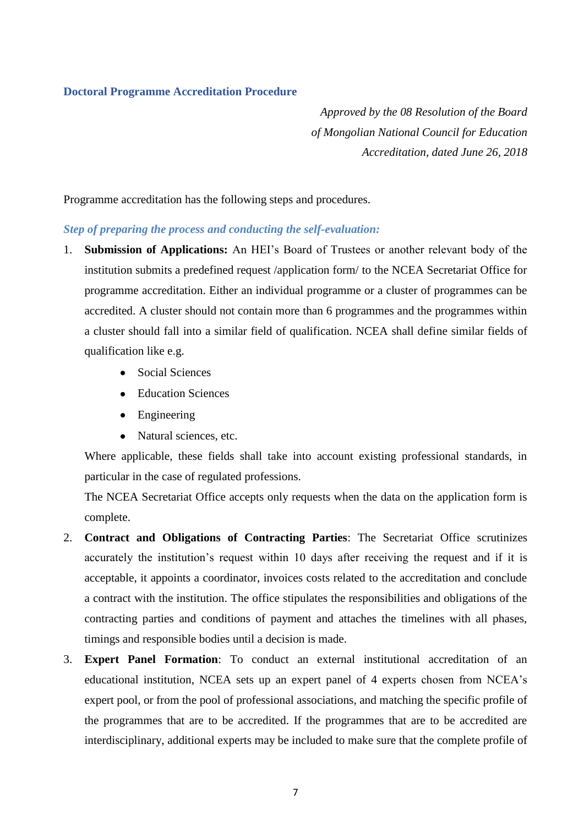# <span id="page-6-0"></span>**Doctoral Programme Accreditation Procedure**

*Approved by the 08 Resolution of the Board of Mongolian National Council for Education Accreditation, dated June 26, 2018*

Programme accreditation has the following steps and procedures.

# *Step of preparing the process and conducting the self-evaluation:*

- 1. **Submission of Applications:** An HEI's Board of Trustees or another relevant body of the institution submits a predefined request /application form/ to the NCEA Secretariat Office for programme accreditation. Either an individual programme or a cluster of programmes can be accredited. A cluster should not contain more than 6 programmes and the programmes within a cluster should fall into a similar field of qualification. NCEA shall define similar fields of qualification like e.g.
	- Social Sciences
	- Education Sciences
	- Engineering
	- Natural sciences, etc.

Where applicable, these fields shall take into account existing professional standards, in particular in the case of regulated professions.

The NCEA Secretariat Office accepts only requests when the data on the application form is complete.

- 2. **Contract and Obligations of Contracting Parties**: The Secretariat Office scrutinizes accurately the institution's request within 10 days after receiving the request and if it is acceptable, it appoints a coordinator, invoices costs related to the accreditation and conclude a contract with the institution. The office stipulates the responsibilities and obligations of the contracting parties and conditions of payment and attaches the timelines with all phases, timings and responsible bodies until a decision is made.
- 3. **Expert Panel Formation**: To conduct an external institutional accreditation of an educational institution, NCEA sets up an expert panel of 4 experts chosen from NCEA's expert pool, or from the pool of professional associations, and matching the specific profile of the programmes that are to be accredited. If the programmes that are to be accredited are interdisciplinary, additional experts may be included to make sure that the complete profile of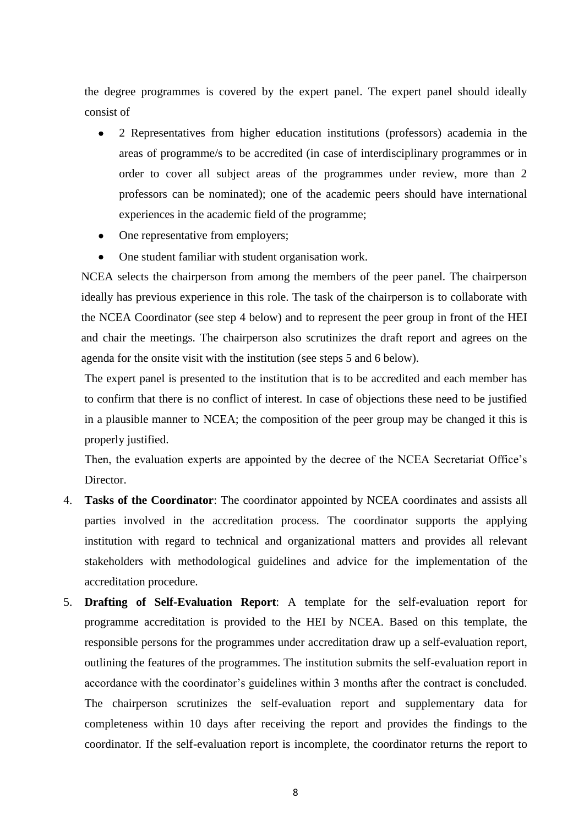the degree programmes is covered by the expert panel. The expert panel should ideally consist of

- 2 Representatives from higher education institutions (professors) academia in the areas of programme/s to be accredited (in case of interdisciplinary programmes or in order to cover all subject areas of the programmes under review, more than 2 professors can be nominated); one of the academic peers should have international experiences in the academic field of the programme;
- One representative from employers;
- One student familiar with student organisation work.

NCEA selects the chairperson from among the members of the peer panel. The chairperson ideally has previous experience in this role. The task of the chairperson is to collaborate with the NCEA Coordinator (see step 4 below) and to represent the peer group in front of the HEI and chair the meetings. The chairperson also scrutinizes the draft report and agrees on the agenda for the onsite visit with the institution (see steps 5 and 6 below).

The expert panel is presented to the institution that is to be accredited and each member has to confirm that there is no conflict of interest. In case of objections these need to be justified in a plausible manner to NCEA; the composition of the peer group may be changed it this is properly justified.

Then, the evaluation experts are appointed by the decree of the NCEA Secretariat Office's Director.

- 4. **Tasks of the Coordinator**: The coordinator appointed by NCEA coordinates and assists all parties involved in the accreditation process. The coordinator supports the applying institution with regard to technical and organizational matters and provides all relevant stakeholders with methodological guidelines and advice for the implementation of the accreditation procedure.
- 5. **Drafting of Self-Evaluation Report**: A template for the self-evaluation report for programme accreditation is provided to the HEI by NCEA. Based on this template, the responsible persons for the programmes under accreditation draw up a self-evaluation report, outlining the features of the programmes. The institution submits the self-evaluation report in accordance with the coordinator's guidelines within 3 months after the contract is concluded. The chairperson scrutinizes the self-evaluation report and supplementary data for completeness within 10 days after receiving the report and provides the findings to the coordinator. If the self-evaluation report is incomplete, the coordinator returns the report to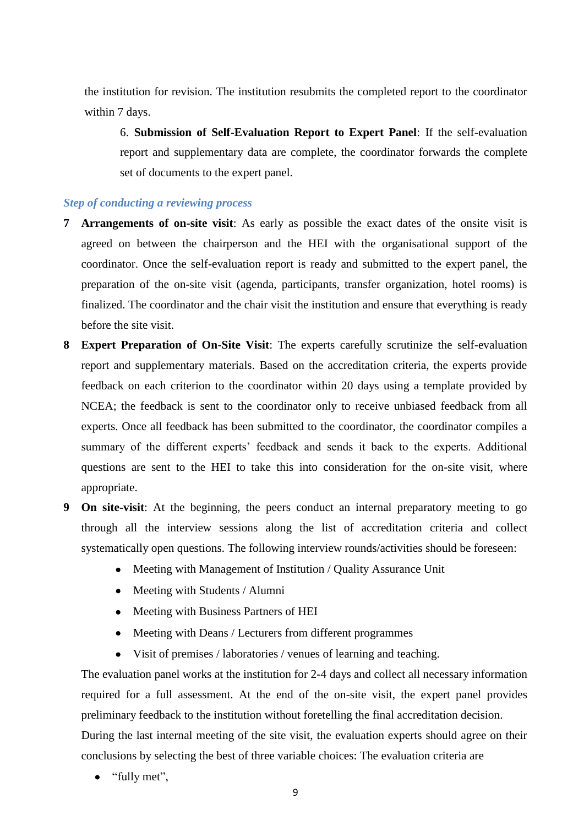the institution for revision. The institution resubmits the completed report to the coordinator within 7 days.

6. **Submission of Self-Evaluation Report to Expert Panel**: If the self-evaluation report and supplementary data are complete, the coordinator forwards the complete set of documents to the expert panel.

# *Step of conducting a reviewing process*

- **7 Arrangements of on-site visit**: As early as possible the exact dates of the onsite visit is agreed on between the chairperson and the HEI with the organisational support of the coordinator. Once the self-evaluation report is ready and submitted to the expert panel, the preparation of the on-site visit (agenda, participants, transfer organization, hotel rooms) is finalized. The coordinator and the chair visit the institution and ensure that everything is ready before the site visit.
- **8 Expert Preparation of On-Site Visit**: The experts carefully scrutinize the self-evaluation report and supplementary materials. Based on the accreditation criteria, the experts provide feedback on each criterion to the coordinator within 20 days using a template provided by NCEA; the feedback is sent to the coordinator only to receive unbiased feedback from all experts. Once all feedback has been submitted to the coordinator, the coordinator compiles a summary of the different experts' feedback and sends it back to the experts. Additional questions are sent to the HEI to take this into consideration for the on-site visit, where appropriate.
- **9 On site-visit**: At the beginning, the peers conduct an internal preparatory meeting to go through all the interview sessions along the list of accreditation criteria and collect systematically open questions. The following interview rounds/activities should be foreseen:
	- Meeting with Management of Institution / Quality Assurance Unit
	- Meeting with Students / Alumni
	- Meeting with Business Partners of HEI
	- Meeting with Deans / Lecturers from different programmes
	- Visit of premises / laboratories / venues of learning and teaching.

The evaluation panel works at the institution for 2-4 days and collect all necessary information required for a full assessment. At the end of the on-site visit, the expert panel provides preliminary feedback to the institution without foretelling the final accreditation decision. During the last internal meeting of the site visit, the evaluation experts should agree on their conclusions by selecting the best of three variable choices: The evaluation criteria are

• "fully met",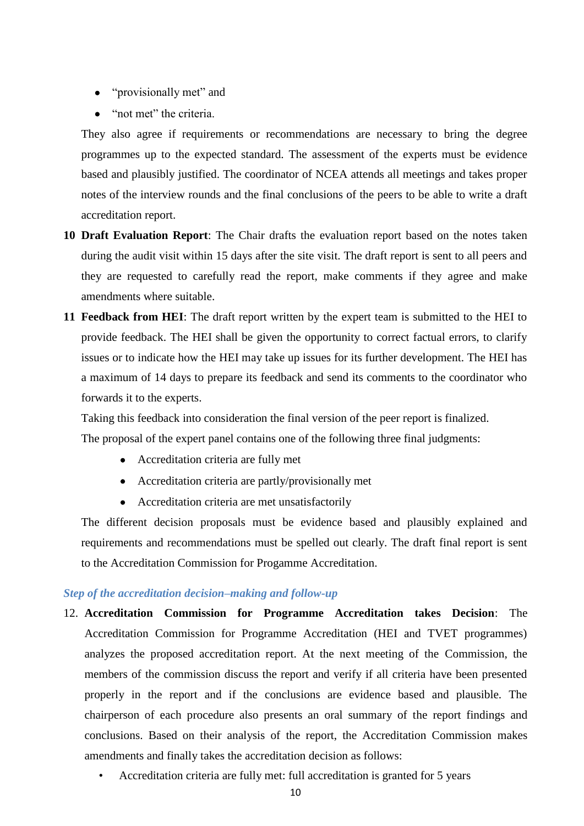- "provisionally met" and
- "not met" the criteria.

They also agree if requirements or recommendations are necessary to bring the degree programmes up to the expected standard. The assessment of the experts must be evidence based and plausibly justified. The coordinator of NCEA attends all meetings and takes proper notes of the interview rounds and the final conclusions of the peers to be able to write a draft accreditation report.

- **10 Draft Evaluation Report**: The Chair drafts the evaluation report based on the notes taken during the audit visit within 15 days after the site visit. The draft report is sent to all peers and they are requested to carefully read the report, make comments if they agree and make amendments where suitable.
- **11 Feedback from HEI**: The draft report written by the expert team is submitted to the HEI to provide feedback. The HEI shall be given the opportunity to correct factual errors, to clarify issues or to indicate how the HEI may take up issues for its further development. The HEI has a maximum of 14 days to prepare its feedback and send its comments to the coordinator who forwards it to the experts.

Taking this feedback into consideration the final version of the peer report is finalized.

The proposal of the expert panel contains one of the following three final judgments:

- Accreditation criteria are fully met
- Accreditation criteria are partly/provisionally met
- Accreditation criteria are met unsatisfactorily

The different decision proposals must be evidence based and plausibly explained and requirements and recommendations must be spelled out clearly. The draft final report is sent to the Accreditation Commission for Progamme Accreditation.

# *Step of the accreditation decision–making and follow-up*

- 12. **Accreditation Commission for Programme Accreditation takes Decision**: The Accreditation Commission for Programme Accreditation (HEI and TVET programmes) analyzes the proposed accreditation report. At the next meeting of the Commission, the members of the commission discuss the report and verify if all criteria have been presented properly in the report and if the conclusions are evidence based and plausible. The chairperson of each procedure also presents an oral summary of the report findings and conclusions. Based on their analysis of the report, the Accreditation Commission makes amendments and finally takes the accreditation decision as follows:
	- Accreditation criteria are fully met: full accreditation is granted for 5 years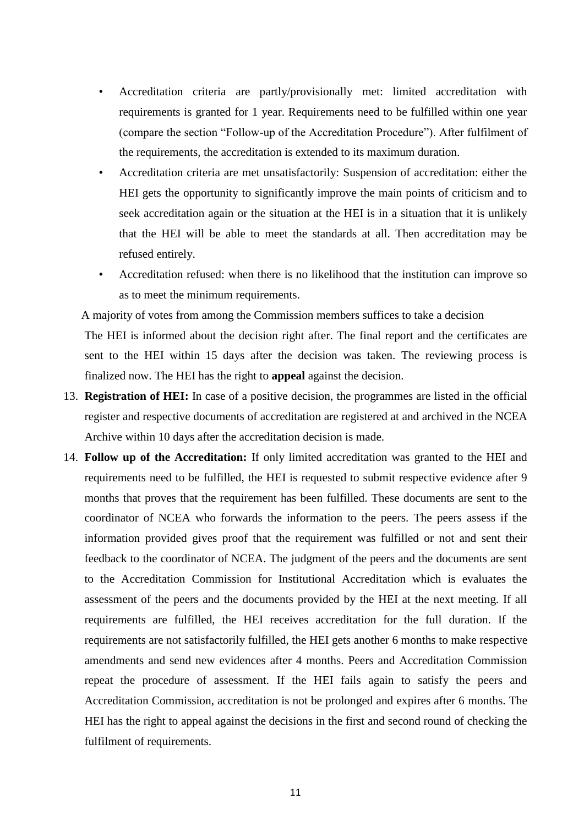- Accreditation criteria are partly/provisionally met: limited accreditation with requirements is granted for 1 year. Requirements need to be fulfilled within one year (compare the section "Follow-up of the Accreditation Procedure"). After fulfilment of the requirements, the accreditation is extended to its maximum duration.
- Accreditation criteria are met unsatisfactorily: Suspension of accreditation: either the HEI gets the opportunity to significantly improve the main points of criticism and to seek accreditation again or the situation at the HEI is in a situation that it is unlikely that the HEI will be able to meet the standards at all. Then accreditation may be refused entirely.
- Accreditation refused: when there is no likelihood that the institution can improve so as to meet the minimum requirements.

A majority of votes from among the Commission members suffices to take a decision The HEI is informed about the decision right after. The final report and the certificates are sent to the HEI within 15 days after the decision was taken. The reviewing process is finalized now. The HEI has the right to **appeal** against the decision.

- 13. **Registration of HEI:** In case of a positive decision, the programmes are listed in the official register and respective documents of accreditation are registered at and archived in the NCEA Archive within 10 days after the accreditation decision is made.
- 14. **Follow up of the Accreditation:** If only limited accreditation was granted to the HEI and requirements need to be fulfilled, the HEI is requested to submit respective evidence after 9 months that proves that the requirement has been fulfilled. These documents are sent to the coordinator of NCEA who forwards the information to the peers. The peers assess if the information provided gives proof that the requirement was fulfilled or not and sent their feedback to the coordinator of NCEA. The judgment of the peers and the documents are sent to the Accreditation Commission for Institutional Accreditation which is evaluates the assessment of the peers and the documents provided by the HEI at the next meeting. If all requirements are fulfilled, the HEI receives accreditation for the full duration. If the requirements are not satisfactorily fulfilled, the HEI gets another 6 months to make respective amendments and send new evidences after 4 months. Peers and Accreditation Commission repeat the procedure of assessment. If the HEI fails again to satisfy the peers and Accreditation Commission, accreditation is not be prolonged and expires after 6 months. The HEI has the right to appeal against the decisions in the first and second round of checking the fulfilment of requirements.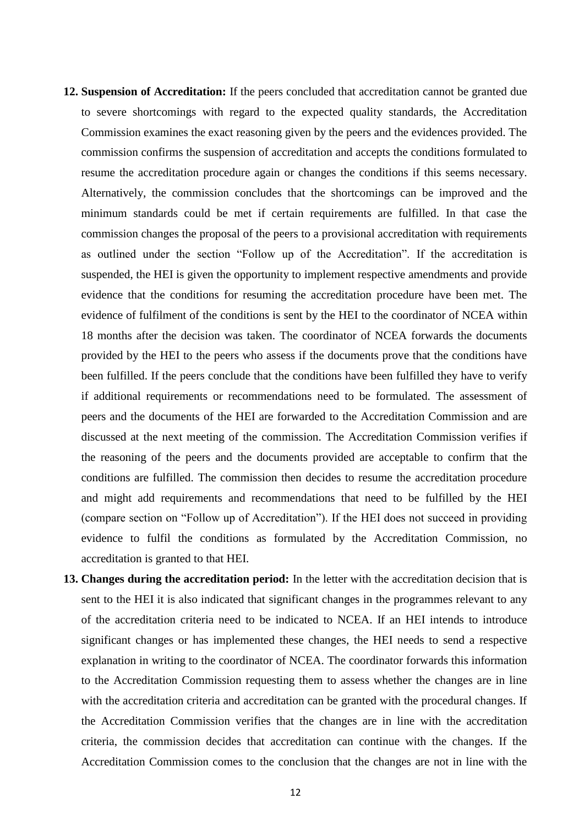- **12. Suspension of Accreditation:** If the peers concluded that accreditation cannot be granted due to severe shortcomings with regard to the expected quality standards, the Accreditation Commission examines the exact reasoning given by the peers and the evidences provided. The commission confirms the suspension of accreditation and accepts the conditions formulated to resume the accreditation procedure again or changes the conditions if this seems necessary. Alternatively, the commission concludes that the shortcomings can be improved and the minimum standards could be met if certain requirements are fulfilled. In that case the commission changes the proposal of the peers to a provisional accreditation with requirements as outlined under the section "Follow up of the Accreditation". If the accreditation is suspended, the HEI is given the opportunity to implement respective amendments and provide evidence that the conditions for resuming the accreditation procedure have been met. The evidence of fulfilment of the conditions is sent by the HEI to the coordinator of NCEA within 18 months after the decision was taken. The coordinator of NCEA forwards the documents provided by the HEI to the peers who assess if the documents prove that the conditions have been fulfilled. If the peers conclude that the conditions have been fulfilled they have to verify if additional requirements or recommendations need to be formulated. The assessment of peers and the documents of the HEI are forwarded to the Accreditation Commission and are discussed at the next meeting of the commission. The Accreditation Commission verifies if the reasoning of the peers and the documents provided are acceptable to confirm that the conditions are fulfilled. The commission then decides to resume the accreditation procedure and might add requirements and recommendations that need to be fulfilled by the HEI (compare section on "Follow up of Accreditation"). If the HEI does not succeed in providing evidence to fulfil the conditions as formulated by the Accreditation Commission, no accreditation is granted to that HEI.
- **13. Changes during the accreditation period:** In the letter with the accreditation decision that is sent to the HEI it is also indicated that significant changes in the programmes relevant to any of the accreditation criteria need to be indicated to NCEA. If an HEI intends to introduce significant changes or has implemented these changes, the HEI needs to send a respective explanation in writing to the coordinator of NCEA. The coordinator forwards this information to the Accreditation Commission requesting them to assess whether the changes are in line with the accreditation criteria and accreditation can be granted with the procedural changes. If the Accreditation Commission verifies that the changes are in line with the accreditation criteria, the commission decides that accreditation can continue with the changes. If the Accreditation Commission comes to the conclusion that the changes are not in line with the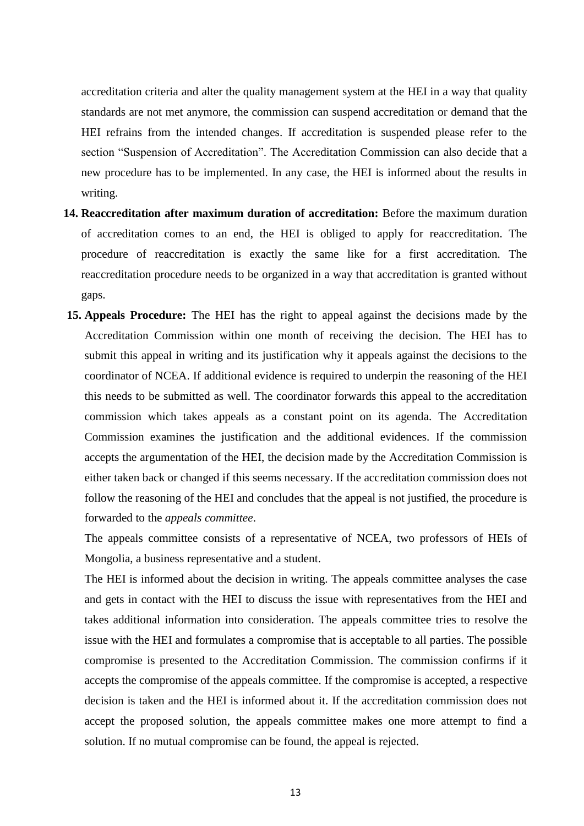accreditation criteria and alter the quality management system at the HEI in a way that quality standards are not met anymore, the commission can suspend accreditation or demand that the HEI refrains from the intended changes. If accreditation is suspended please refer to the section "Suspension of Accreditation". The Accreditation Commission can also decide that a new procedure has to be implemented. In any case, the HEI is informed about the results in writing.

- **14. Reaccreditation after maximum duration of accreditation:** Before the maximum duration of accreditation comes to an end, the HEI is obliged to apply for reaccreditation. The procedure of reaccreditation is exactly the same like for a first accreditation. The reaccreditation procedure needs to be organized in a way that accreditation is granted without gaps.
- **15. Appeals Procedure:** The HEI has the right to appeal against the decisions made by the Accreditation Commission within one month of receiving the decision. The HEI has to submit this appeal in writing and its justification why it appeals against the decisions to the coordinator of NCEA. If additional evidence is required to underpin the reasoning of the HEI this needs to be submitted as well. The coordinator forwards this appeal to the accreditation commission which takes appeals as a constant point on its agenda. The Accreditation Commission examines the justification and the additional evidences. If the commission accepts the argumentation of the HEI, the decision made by the Accreditation Commission is either taken back or changed if this seems necessary. If the accreditation commission does not follow the reasoning of the HEI and concludes that the appeal is not justified, the procedure is forwarded to the *appeals committee*.

The appeals committee consists of a representative of NCEA, two professors of HEIs of Mongolia, a business representative and a student.

The HEI is informed about the decision in writing. The appeals committee analyses the case and gets in contact with the HEI to discuss the issue with representatives from the HEI and takes additional information into consideration. The appeals committee tries to resolve the issue with the HEI and formulates a compromise that is acceptable to all parties. The possible compromise is presented to the Accreditation Commission. The commission confirms if it accepts the compromise of the appeals committee. If the compromise is accepted, a respective decision is taken and the HEI is informed about it. If the accreditation commission does not accept the proposed solution, the appeals committee makes one more attempt to find a solution. If no mutual compromise can be found, the appeal is rejected.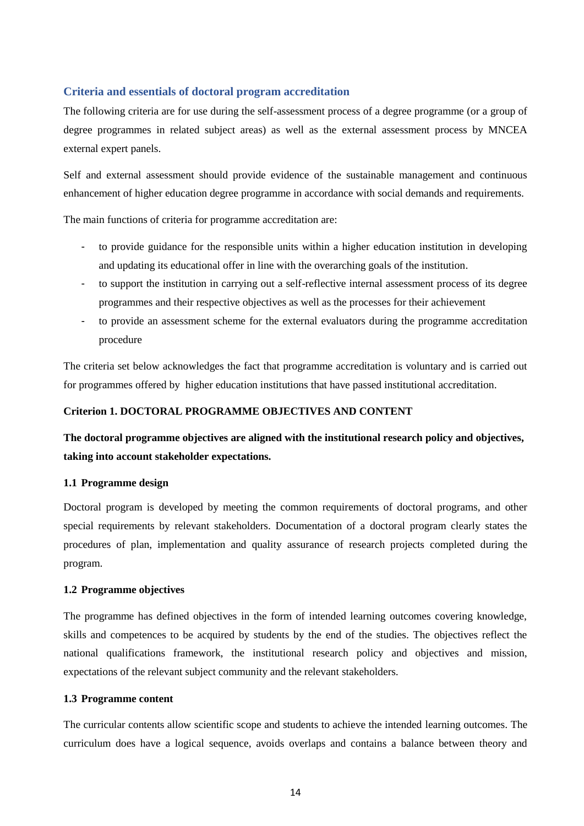# <span id="page-13-0"></span>**Criteria and essentials of doctoral program accreditation**

The following criteria are for use during the self-assessment process of a degree programme (or a group of degree programmes in related subject areas) as well as the external assessment process by MNCEA external expert panels.

Self and external assessment should provide evidence of the sustainable management and continuous enhancement of higher education degree programme in accordance with social demands and requirements.

The main functions of criteria for programme accreditation are:

- to provide guidance for the responsible units within a higher education institution in developing and updating its educational offer in line with the overarching goals of the institution.
- to support the institution in carrying out a self-reflective internal assessment process of its degree programmes and their respective objectives as well as the processes for their achievement
- to provide an assessment scheme for the external evaluators during the programme accreditation procedure

The criteria set below acknowledges the fact that programme accreditation is voluntary and is carried out for programmes offered by higher education institutions that have passed institutional accreditation.

# **Criterion 1. DOCTORAL PROGRAMME OBJECTIVES AND CONTENT**

**The doctoral programme objectives are aligned with the institutional research policy and objectives, taking into account stakeholder expectations.**

## **1.1 Programme design**

Doctoral program is developed by meeting the common requirements of doctoral programs, and other special requirements by relevant stakeholders. Documentation of a doctoral program clearly states the procedures of plan, implementation and quality assurance of research projects completed during the program.

## **1.2 Programme objectives**

The programme has defined objectives in the form of intended learning outcomes covering knowledge, skills and competences to be acquired by students by the end of the studies. The objectives reflect the national qualifications framework, the institutional research policy and objectives and mission, expectations of the relevant subject community and the relevant stakeholders.

## **1.3 Programme content**

The curricular contents allow scientific scope and students to achieve the intended learning outcomes. The curriculum does have a logical sequence, avoids overlaps and contains a balance between theory and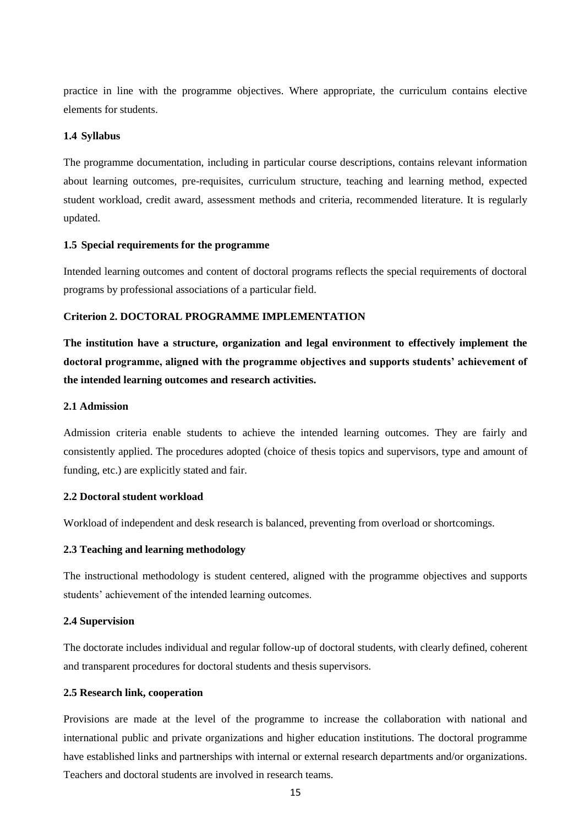practice in line with the programme objectives. Where appropriate, the curriculum contains elective elements for students.

#### **1.4 Syllabus**

The programme documentation, including in particular course descriptions, contains relevant information about learning outcomes, pre-requisites, curriculum structure, teaching and learning method, expected student workload, credit award, assessment methods and criteria, recommended literature. It is regularly updated.

#### **1.5 Special requirements for the programme**

Intended learning outcomes and content of doctoral programs reflects the special requirements of doctoral programs by professional associations of a particular field.

#### **Criterion 2. DOCTORAL PROGRAMME IMPLEMENTATION**

**The institution have a structure, organization and legal environment to effectively implement the doctoral programme, aligned with the programme objectives and supports students' achievement of the intended learning outcomes and research activities.**

## **2.1 Admission**

Admission criteria enable students to achieve the intended learning outcomes. They are fairly and consistently applied. The procedures adopted (choice of thesis topics and supervisors, type and amount of funding, etc.) are explicitly stated and fair.

#### **2.2 Doctoral student workload**

Workload of independent and desk research is balanced, preventing from overload or shortcomings.

#### **2.3 Teaching and learning methodology**

The instructional methodology is student centered, aligned with the programme objectives and supports students' achievement of the intended learning outcomes.

#### **2.4 Supervision**

The doctorate includes individual and regular follow-up of doctoral students, with clearly defined, coherent and transparent procedures for doctoral students and thesis supervisors.

#### **2.5 Research link, cooperation**

Provisions are made at the level of the programme to increase the collaboration with national and international public and private organizations and higher education institutions. The doctoral programme have established links and partnerships with internal or external research departments and/or organizations. Teachers and doctoral students are involved in research teams.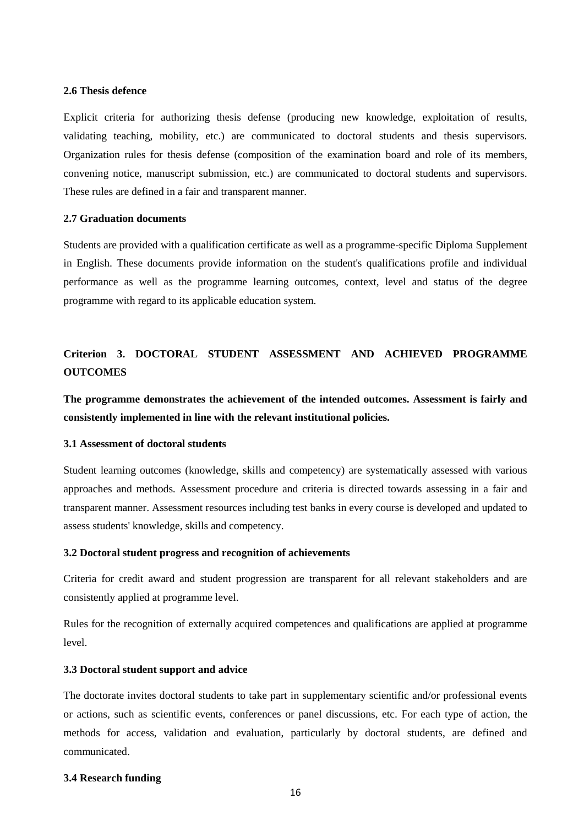#### **2.6 Thesis defence**

Explicit criteria for authorizing thesis defense (producing new knowledge, exploitation of results, validating teaching, mobility, etc.) are communicated to doctoral students and thesis supervisors. Organization rules for thesis defense (composition of the examination board and role of its members, convening notice, manuscript submission, etc.) are communicated to doctoral students and supervisors. These rules are defined in a fair and transparent manner.

#### **2.7 Graduation documents**

Students are provided with a qualification certificate as well as a programme-specific Diploma Supplement in English. These documents provide information on the student's qualifications profile and individual performance as well as the programme learning outcomes, context, level and status of the degree programme with regard to its applicable education system.

# **Criterion 3. DOCTORAL STUDENT ASSESSMENT AND ACHIEVED PROGRAMME OUTCOMES**

**The programme demonstrates the achievement of the intended outcomes. Assessment is fairly and consistently implemented in line with the relevant institutional policies.**

#### **3.1 Assessment of doctoral students**

Student learning outcomes (knowledge, skills and competency) are systematically assessed with various approaches and methods. Assessment procedure and criteria is directed towards assessing in a fair and transparent manner. Assessment resources including test banks in every course is developed and updated to assess students' knowledge, skills and competency.

#### **3.2 Doctoral student progress and recognition of achievements**

Criteria for credit award and student progression are transparent for all relevant stakeholders and are consistently applied at programme level.

Rules for the recognition of externally acquired competences and qualifications are applied at programme level.

#### **3.3 Doctoral student support and advice**

The doctorate invites doctoral students to take part in supplementary scientific and/or professional events or actions, such as scientific events, conferences or panel discussions, etc. For each type of action, the methods for access, validation and evaluation, particularly by doctoral students, are defined and communicated.

#### **3.4 Research funding**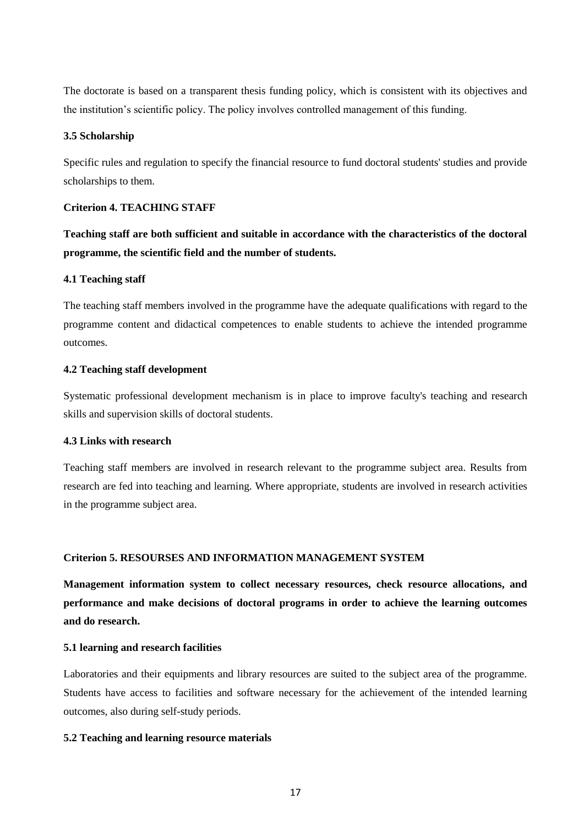The doctorate is based on a transparent thesis funding policy, which is consistent with its objectives and the institution's scientific policy. The policy involves controlled management of this funding.

#### **3.5 Scholarship**

Specific rules and regulation to specify the financial resource to fund doctoral students' studies and provide scholarships to them.

#### **Criterion 4. TEACHING STAFF**

**Teaching staff are both sufficient and suitable in accordance with the characteristics of the doctoral programme, the scientific field and the number of students.**

#### **4.1 Teaching staff**

The teaching staff members involved in the programme have the adequate qualifications with regard to the programme content and didactical competences to enable students to achieve the intended programme outcomes.

## **4.2 Teaching staff development**

Systematic professional development mechanism is in place to improve faculty's teaching and research skills and supervision skills of doctoral students.

# **4.3 Links with research**

Teaching staff members are involved in research relevant to the programme subject area. Results from research are fed into teaching and learning. Where appropriate, students are involved in research activities in the programme subject area.

# **Criterion 5. RESOURSES AND INFORMATION MANAGEMENT SYSTEM**

**Management information system to collect necessary resources, check resource allocations, and performance and make decisions of doctoral programs in order to achieve the learning outcomes and do research.**

## **5.1 learning and research facilities**

Laboratories and their equipments and library resources are suited to the subject area of the programme. Students have access to facilities and software necessary for the achievement of the intended learning outcomes, also during self-study periods.

#### **5.2 Teaching and learning resource materials**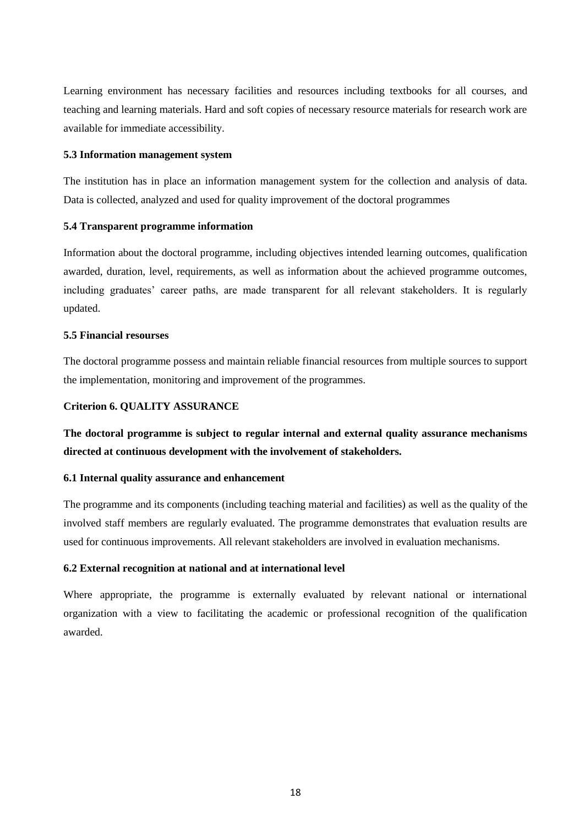Learning environment has necessary facilities and resources including textbooks for all courses, and teaching and learning materials. Hard and soft copies of necessary resource materials for research work are available for immediate accessibility.

#### **5.3 Information management system**

The institution has in place an information management system for the collection and analysis of data. Data is collected, analyzed and used for quality improvement of the doctoral programmes

## **5.4 Transparent programme information**

Information about the doctoral programme, including objectives intended learning outcomes, qualification awarded, duration, level, requirements, as well as information about the achieved programme outcomes, including graduates' career paths, are made transparent for all relevant stakeholders. It is regularly updated.

#### **5.5 Financial resourses**

The doctoral programme possess and maintain reliable financial resources from multiple sources to support the implementation, monitoring and improvement of the programmes.

## **Criterion 6. QUALITY ASSURANCE**

**The doctoral programme is subject to regular internal and external quality assurance mechanisms directed at continuous development with the involvement of stakeholders.**

## **6.1 Internal quality assurance and enhancement**

The programme and its components (including teaching material and facilities) as well as the quality of the involved staff members are regularly evaluated. The programme demonstrates that evaluation results are used for continuous improvements. All relevant stakeholders are involved in evaluation mechanisms.

## **6.2 External recognition at national and at international level**

Where appropriate, the programme is externally evaluated by relevant national or international organization with a view to facilitating the academic or professional recognition of the qualification awarded.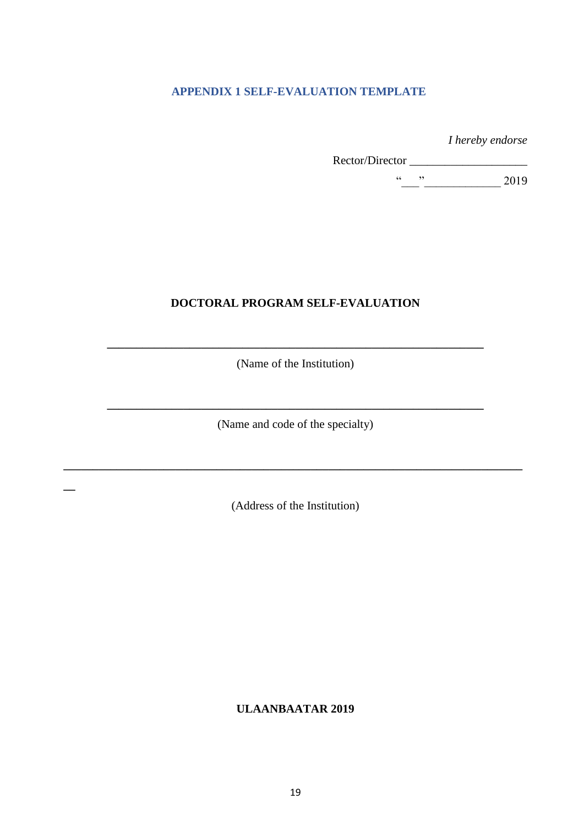# <span id="page-18-0"></span>**APPENDIX 1 SELF-EVALUATION TEMPLATE**

*I hereby endorse* 

 Rector/Director \_\_\_\_\_\_\_\_\_\_\_\_\_\_\_\_\_\_\_\_  $\frac{1}{2}$   $\frac{1}{2019}$ 

# **DOCTORAL PROGRAM SELF-EVALUATION**

**\_\_\_\_\_\_\_\_\_\_\_\_\_\_\_\_\_\_\_\_\_\_\_\_\_\_\_\_\_\_\_\_\_\_\_\_\_\_\_\_\_\_\_\_\_\_\_\_\_\_\_\_\_\_\_\_\_\_\_\_\_\_\_\_** (Name of the Institution)

(Name and code of the specialty)

**\_\_\_\_\_\_\_\_\_\_\_\_\_\_\_\_\_\_\_\_\_\_\_\_\_\_\_\_\_\_\_\_\_\_\_\_\_\_\_\_\_\_\_\_\_\_\_\_\_\_\_\_\_\_\_\_\_\_\_\_\_\_\_\_**

(Address of the Institution)

**\_\_\_\_\_\_\_\_\_\_\_\_\_\_\_\_\_\_\_\_\_\_\_\_\_\_\_\_\_\_\_\_\_\_\_\_\_\_\_\_\_\_\_\_\_\_\_\_\_\_\_\_\_\_\_\_\_\_\_\_\_\_\_\_\_\_\_\_\_\_\_\_\_\_\_\_\_\_**

**\_\_**

**ULAANBAATAR 2019**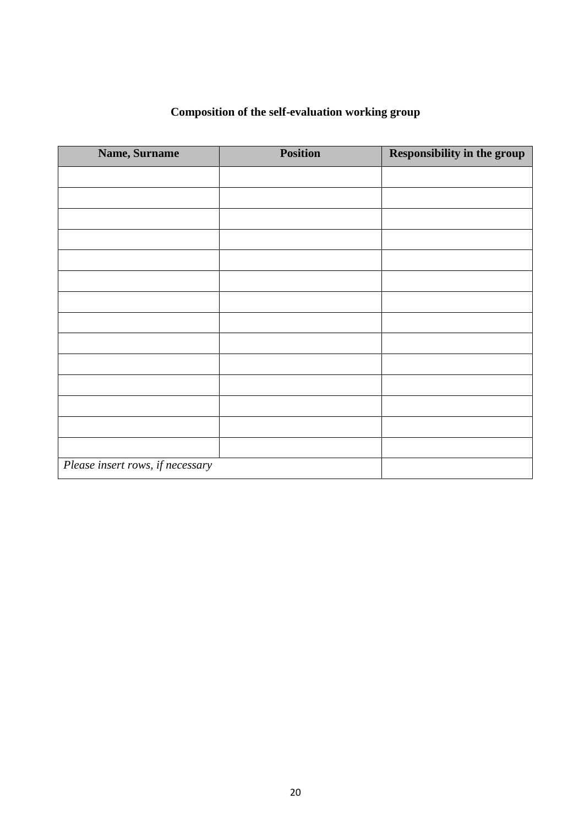| <b>Composition of the self-evaluation working group</b> |  |
|---------------------------------------------------------|--|
|---------------------------------------------------------|--|

| Name, Surname                    | <b>Position</b> | Responsibility in the group |
|----------------------------------|-----------------|-----------------------------|
|                                  |                 |                             |
|                                  |                 |                             |
|                                  |                 |                             |
|                                  |                 |                             |
|                                  |                 |                             |
|                                  |                 |                             |
|                                  |                 |                             |
|                                  |                 |                             |
|                                  |                 |                             |
|                                  |                 |                             |
|                                  |                 |                             |
|                                  |                 |                             |
|                                  |                 |                             |
|                                  |                 |                             |
| Please insert rows, if necessary |                 |                             |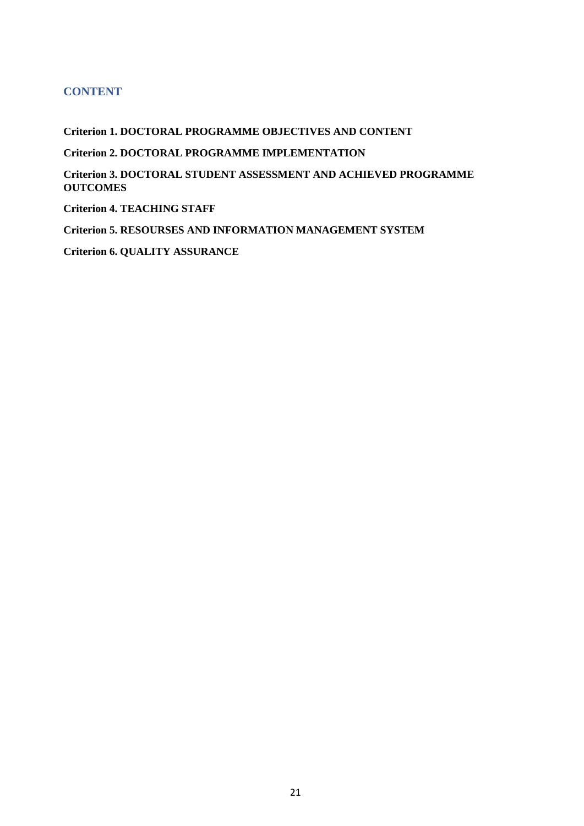# **CONTENT**

**Criterion 1. DOCTORAL PROGRAMME OBJECTIVES AND CONTENT Criterion 2. DOCTORAL PROGRAMME IMPLEMENTATION Criterion 3. DOCTORAL STUDENT ASSESSMENT AND ACHIEVED PROGRAMME OUTCOMES Criterion 4. TEACHING STAFF Criterion 5. RESOURSES AND INFORMATION MANAGEMENT SYSTEM Criterion 6. QUALITY ASSURANCE**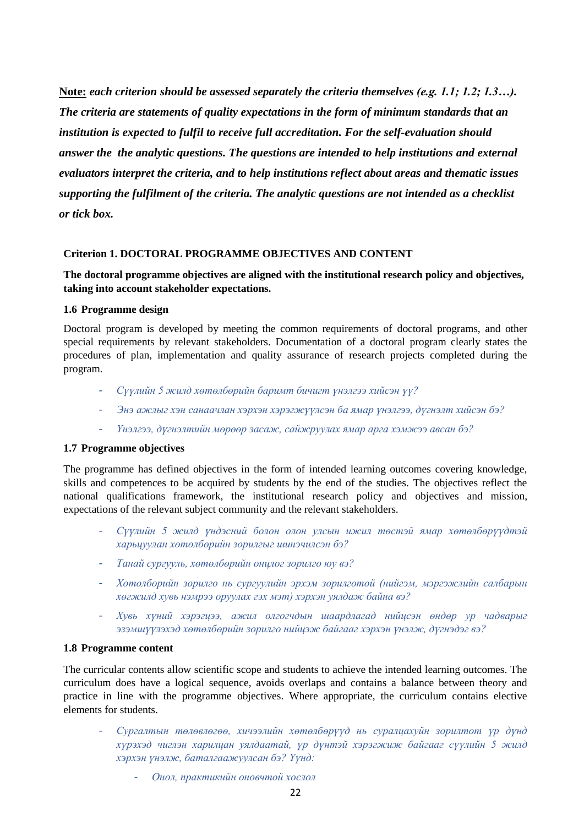**Note:** *each criterion should be assessed separately the criteria themselves (e.g. 1.1; 1.2; 1.3…). The criteria are statements of quality expectations in the form of minimum standards that an institution is expected to fulfil to receive full accreditation. For the self-evaluation should answer the the analytic questions. The questions are intended to help institutions and external evaluators interpret the criteria, and to help institutions reflect about areas and thematic issues supporting the fulfilment of the criteria. The analytic questions are not intended as a checklist or tick box.* 

## **Criterion 1. DOCTORAL PROGRAMME OBJECTIVES AND CONTENT**

# **The doctoral programme objectives are aligned with the institutional research policy and objectives, taking into account stakeholder expectations.**

#### **1.6 Programme design**

Doctoral program is developed by meeting the common requirements of doctoral programs, and other special requirements by relevant stakeholders. Documentation of a doctoral program clearly states the procedures of plan, implementation and quality assurance of research projects completed during the program.

- *Сүүлийн 5 жилд хөтөлбөрийн баримт бичигт үнэлгээ хийсэн үү?*
- *Энэ ажлыг хэн санаачлан хэрхэн хэрэгжүүлсэн ба ямар үнэлгээ, дүгнэлт хийсэн бэ?*
- *Үнэлгээ, дүгнэлтийн мөрөөр засаж, сайжруулах ямар арга хэмжээ авсан бэ?*

#### **1.7 Programme objectives**

The programme has defined objectives in the form of intended learning outcomes covering knowledge, skills and competences to be acquired by students by the end of the studies. The objectives reflect the national qualifications framework, the institutional research policy and objectives and mission, expectations of the relevant subject community and the relevant stakeholders.

- *Сүүлийн 5 жилд үндэсний болон олон улсын ижил төстэй ямар хөтөлбөрүүдтэй харьцуулан хөтөлбөрийн зорилгыг шинэчилсэн бэ?*
- *Танай сургууль, хөтөлбөрийн онцлог зорилго юу вэ?*
- *Хөтөлбөрийн зорилго нь сургуулийн эрхэм зорилготой (нийгэм, мэргэжлийн салбарын хөгжилд хувь нэмрээ оруулах гэх мэт) хэрхэн уялдаж байна вэ?*
- *Хувь хүний хэрэгцээ, ажил олгогчдын шаардлагад нийцсэн өндөр ур чадварыг эзэмшүүлэхэд хөтөлбөрийн зорилго нийцэж байгааг хэрхэн үнэлж, дүгнэдэг вэ?*

#### **1.8 Programme content**

The curricular contents allow scientific scope and students to achieve the intended learning outcomes. The curriculum does have a logical sequence, avoids overlaps and contains a balance between theory and practice in line with the programme objectives. Where appropriate, the curriculum contains elective elements for students.

- *Сургалтын төлөвлөгөө, хичээлийн хөтөлбөрүүд нь суралцахуйн зорилтот үр дүнд хүрэхэд чиглэн харилцан уялдаатай, үр дүнтэй хэрэгжиж байгааг сүүлийн 5 жилд хэрхэн үнэлж, баталгаажуулсан бэ? Үүнд:*
	- *Онол, практикийн оновчтой хослол*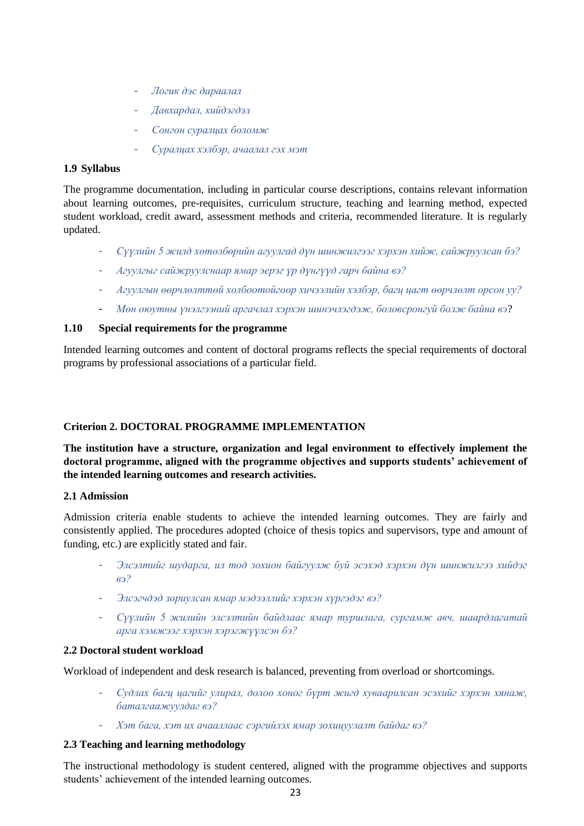- *Логик дэс дараалал*
- *Давхардал, хийдэгдэл*
- *Сонгон суралцах боломж*
- *Суралцах хэлбэр, ачаалал гэх мэт*

# **1.9 Syllabus**

The programme documentation, including in particular course descriptions, contains relevant information about learning outcomes, pre-requisites, curriculum structure, teaching and learning method, expected student workload, credit award, assessment methods and criteria, recommended literature. It is regularly updated.

- *Сүүлийн 5 жилд хөтөлбөрийн агуулгад дүн шинжилгээг хэрхэн хийж, сайжруулсан бэ?*
- *Агуулгыг сайжруулснаар ямар эерэг үр дүнгүүд гарч байна вэ?*
- *Агуулгын өөрчлөлттөй холбоотойгоор хичээлийн хэлбэр, багц цагт өөрчлөлт орсон уу?*
- *Мөн оюутны үнэлгээний аргачлал хэрхэн шинэчлэгдэж, боловсронгуй болж байна вэ*?

# **1.10 Special requirements for the programme**

Intended learning outcomes and content of doctoral programs reflects the special requirements of doctoral programs by professional associations of a particular field.

# **Criterion 2. DOCTORAL PROGRAMME IMPLEMENTATION**

**The institution have a structure, organization and legal environment to effectively implement the doctoral programme, aligned with the programme objectives and supports students' achievement of the intended learning outcomes and research activities.**

# **2.1 Admission**

Admission criteria enable students to achieve the intended learning outcomes. They are fairly and consistently applied. The procedures adopted (choice of thesis topics and supervisors, type and amount of funding, etc.) are explicitly stated and fair.

- *Элсэлтийг шударга, ил тод зохион байгуулж буй эсэхэд хэрхэн дүн шинжилгээ хийдэг вэ?*
- *Элсэгчдэд зориулсан ямар мэдээллийг хэрхэн хүргэдэг вэ?*
- *Сүүлийн 5 жилийн элсэлтийн байдлаас ямар туршлага, сургамж авч, шаардлагатай арга хэмжээг хэрхэн хэрэгжүүлсэн бэ?*

# **2.2 Doctoral student workload**

Workload of independent and desk research is balanced, preventing from overload or shortcomings.

- *Судлах багц цагийг улирал, долоо хоног бүрт жигд хуваарилсан эсэхийг хэрхэн хянаж, баталгаажуулдаг вэ?*
- *Хэт бага, хэт их ачааллаас сэргийлэх ямар зохицуулалт байдаг вэ?*

# **2.3 Teaching and learning methodology**

The instructional methodology is student centered, aligned with the programme objectives and supports students' achievement of the intended learning outcomes.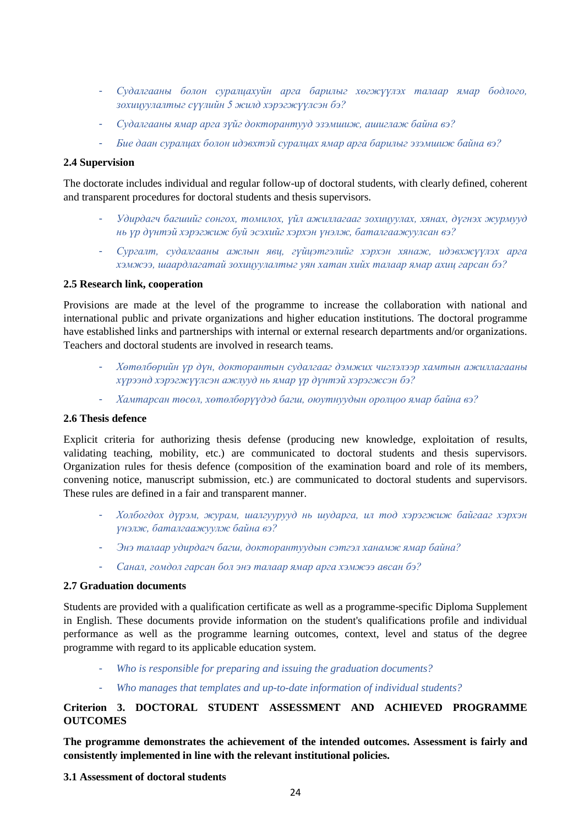- *Судалгааны болон суралцахуйн арга барилыг хөгжүүлэх талаар ямар бодлого, зохицуулалтыг сүүлийн 5 жилд хэрэгжүүлсэн бэ?*
- *Судалгааны ямар арга зүйг докторантууд эзэмшиж, ашиглаж байна вэ?*
- *Бие даан суралцах болон идэвхтэй суралцах ямар арга барилыг эзэмшиж байна вэ?*

# **2.4 Supervision**

The doctorate includes individual and regular follow-up of doctoral students, with clearly defined, coherent and transparent procedures for doctoral students and thesis supervisors.

- *Удирдагч багшийг сонгох, томилох, үйл ажиллагааг зохицуулах, хянах, дүгнэх журмууд нь үр дүнтэй хэрэгжиж буй эсэхийг хэрхэн үнэлж, баталгаажуулсан вэ?*
- *Сургалт, судалгааны ажлын явц, гүйцэтгэлийг хэрхэн хянаж, идэвхжүүлэх арга хэмжээ, шаардлагатай зохицуулалтыг уян хатан хийх талаар ямар ахиц гарсан бэ?*

# **2.5 Research link, cooperation**

Provisions are made at the level of the programme to increase the collaboration with national and international public and private organizations and higher education institutions. The doctoral programme have established links and partnerships with internal or external research departments and/or organizations. Teachers and doctoral students are involved in research teams.

- *Хөтөлбөрийн үр дүн, докторантын судалгааг дэмжих чиглэлээр хамтын ажиллагааны хүрээнд хэрэгжүүлсэн ажлууд нь ямар үр дүнтэй хэрэгжсэн бэ?*
- *Хамтарсан төсөл, хөтөлбөрүүдэд багш, оюутнуудын оролцоо ямар байна вэ?*

# **2.6 Thesis defence**

Explicit criteria for authorizing thesis defense (producing new knowledge, exploitation of results, validating teaching, mobility, etc.) are communicated to doctoral students and thesis supervisors. Organization rules for thesis defence (composition of the examination board and role of its members, convening notice, manuscript submission, etc.) are communicated to doctoral students and supervisors. These rules are defined in a fair and transparent manner.

- *Холбогдох дүрэм, журам, шалгуурууд нь шударга, ил тод хэрэгжиж байгааг хэрхэн үнэлж, баталгаажуулж байна вэ?*
- *Энэ талаар удирдагч багш, докторантуудын сэтгэл ханамж ямар байна?*
- *Санал, гомдол гарсан бол энэ талаар ямар арга хэмжээ авсан бэ?*

## **2.7 Graduation documents**

Students are provided with a qualification certificate as well as a programme-specific Diploma Supplement in English. These documents provide information on the student's qualifications profile and individual performance as well as the programme learning outcomes, context, level and status of the degree programme with regard to its applicable education system.

- *Who is responsible for preparing and issuing the graduation documents?*
- *Who manages that templates and up-to-date information of individual students?*

# **Criterion 3. DOCTORAL STUDENT ASSESSMENT AND ACHIEVED PROGRAMME OUTCOMES**

**The programme demonstrates the achievement of the intended outcomes. Assessment is fairly and consistently implemented in line with the relevant institutional policies.**

**3.1 Assessment of doctoral students**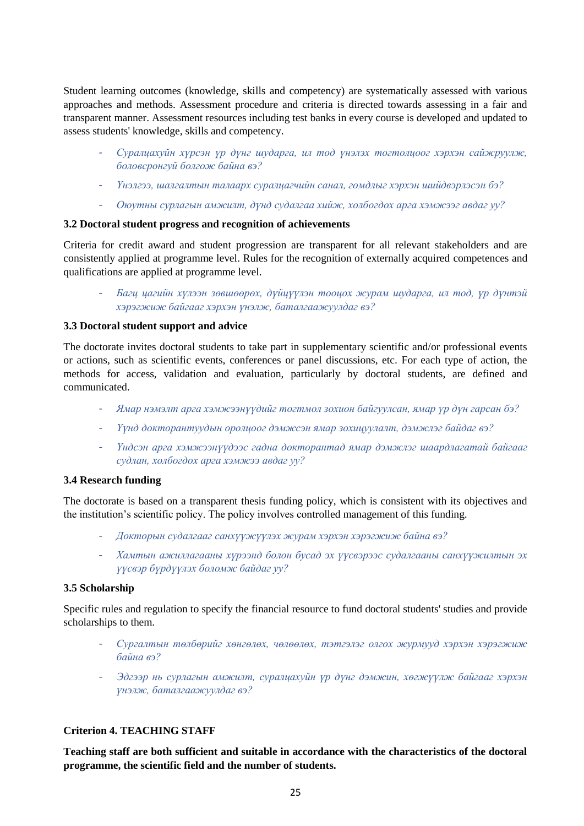Student learning outcomes (knowledge, skills and competency) are systematically assessed with various approaches and methods. Assessment procedure and criteria is directed towards assessing in a fair and transparent manner. Assessment resources including test banks in every course is developed and updated to assess students' knowledge, skills and competency.

- *Суралцахуйн хүрсэн үр дүнг шударга, ил тод үнэлэх тогтолцоог хэрхэн сайжруулж, боловсронгуй болгож байна вэ?*
- *Үнэлгээ, шалгалтын талаарх суралцагчийн санал, гомдлыг хэрхэн шийдвэрлэсэн бэ?*
- *Оюутны сурлагын амжилт, дүнд судалгаа хийж, холбогдох арга хэмжээг авдаг уу?*

## **3.2 Doctoral student progress and recognition of achievements**

Criteria for credit award and student progression are transparent for all relevant stakeholders and are consistently applied at programme level. Rules for the recognition of externally acquired competences and qualifications are applied at programme level.

- *Багц цагийн хүлээн зөвшөөрөх, дүйцүүлэн тооцох журам шударга, ил тод, үр дүнтэй хэрэгжиж байгааг хэрхэн үнэлж, баталгаажуулдаг вэ?*

#### **3.3 Doctoral student support and advice**

The doctorate invites doctoral students to take part in supplementary scientific and/or professional events or actions, such as scientific events, conferences or panel discussions, etc. For each type of action, the methods for access, validation and evaluation, particularly by doctoral students, are defined and communicated.

- *Ямар нэмэлт арга хэмжээнүүдийг тогтмол зохион байгуулсан, ямар үр дүн гарсан бэ?*
- *Үүнд докторантуудын оролцоог дэмжсэн ямар зохицуулалт, дэмжлэг байдаг вэ?*
- *Үндсэн арга хэмжээнүүдээс гадна докторантад ямар дэмжлэг шаардлагатай байгааг судлан, холбогдох арга хэмжээ авдаг уу?*

#### **3.4 Research funding**

The doctorate is based on a transparent thesis funding policy, which is consistent with its objectives and the institution's scientific policy. The policy involves controlled management of this funding.

- *Докторын судалгааг санхүүжүүлэх журам хэрхэн хэрэгжиж байна вэ?*
- *Хамтын ажиллагааны хүрээнд болон бусад эх үүсвэрээс судалгааны санхүүжилтын эх үүсвэр бүрдүүлэх боломж байдаг уу?*

#### **3.5 Scholarship**

Specific rules and regulation to specify the financial resource to fund doctoral students' studies and provide scholarships to them.

- *Сургалтын төлбөрийг хөнгөлөх, чөлөөлөх, тэтгэлэг олгох журмууд хэрхэн хэрэгжиж байна вэ?*
- *Эдгээр нь сурлагын амжилт, суралцахуйн үр дүнг дэмжин, хөгжүүлж байгааг хэрхэн үнэлж, баталгаажуулдаг вэ?*

## **Criterion 4. TEACHING STAFF**

**Teaching staff are both sufficient and suitable in accordance with the characteristics of the doctoral programme, the scientific field and the number of students.**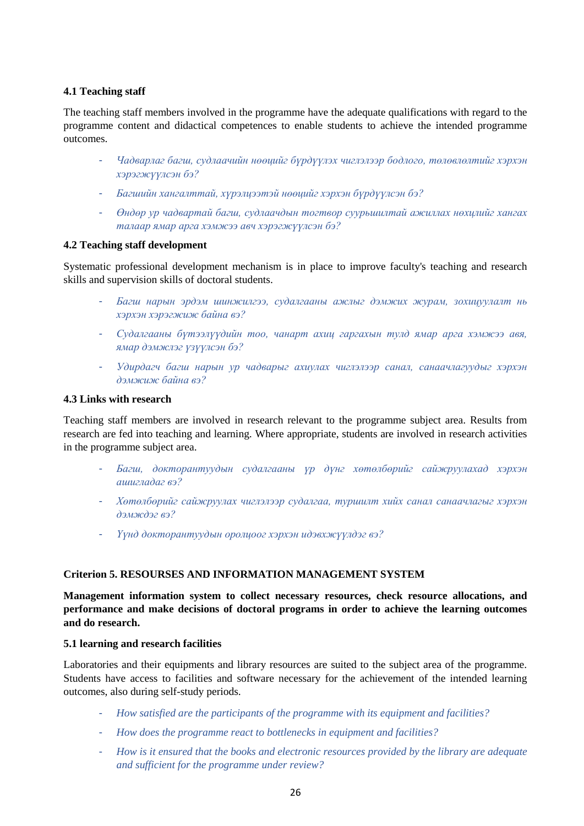# **4.1 Teaching staff**

The teaching staff members involved in the programme have the adequate qualifications with regard to the programme content and didactical competences to enable students to achieve the intended programme outcomes.

- *Чадварлаг багш, судлаачийн нөөцийг бүрдүүлэх чиглэлээр бодлого, төлөвлөлтийг хэрхэн хэрэгжүүлсэн бэ?*
- *Багшийн хангалттай, хүрэлцээтэй нөөцийг хэрхэн бүрдүүлсэн бэ?*
- *Өндөр ур чадвартай багш, судлаачдын тогтвор суурьшилтай ажиллах нөхцлийг хангах талаар ямар арга хэмжээ авч хэрэгжүүлсэн бэ?*

#### **4.2 Teaching staff development**

Systematic professional development mechanism is in place to improve faculty's teaching and research skills and supervision skills of doctoral students.

- *Багш нарын эрдэм шинжилгээ, судалгааны ажлыг дэмжих журам, зохицуулалт нь хэрхэн хэрэгжиж байна вэ?*
- *Судалгааны бүтээлүүдийн тоо, чанарт ахиц гаргахын тулд ямар арга хэмжээ авя, ямар дэмжлэг үзүүлсэн бэ?*
- *Удирдагч багш нарын ур чадварыг ахиулах чиглэлээр санал, санаачлагуудыг хэрхэн дэмжиж байна вэ?*

#### **4.3 Links with research**

Teaching staff members are involved in research relevant to the programme subject area. Results from research are fed into teaching and learning. Where appropriate, students are involved in research activities in the programme subject area.

- *Багш, докторантуудын судалгааны үр дүнг хөтөлбөрийг сайжруулахад хэрхэн ашигладаг вэ?*
- *Хөтөлбөрийг сайжруулах чиглэлээр судалгаа, туршилт хийх санал санаачлагыг хэрхэн дэмждэг вэ?*
- *Үүнд докторантуудын оролцоог хэрхэн идэвхжүүлдэг вэ?*

# **Criterion 5. RESOURSES AND INFORMATION MANAGEMENT SYSTEM**

**Management information system to collect necessary resources, check resource allocations, and performance and make decisions of doctoral programs in order to achieve the learning outcomes and do research.**

#### **5.1 learning and research facilities**

Laboratories and their equipments and library resources are suited to the subject area of the programme. Students have access to facilities and software necessary for the achievement of the intended learning outcomes, also during self-study periods.

- *How satisfied are the participants of the programme with its equipment and facilities?*
- *How does the programme react to bottlenecks in equipment and facilities?*
- *How is it ensured that the books and electronic resources provided by the library are adequate and sufficient for the programme under review?*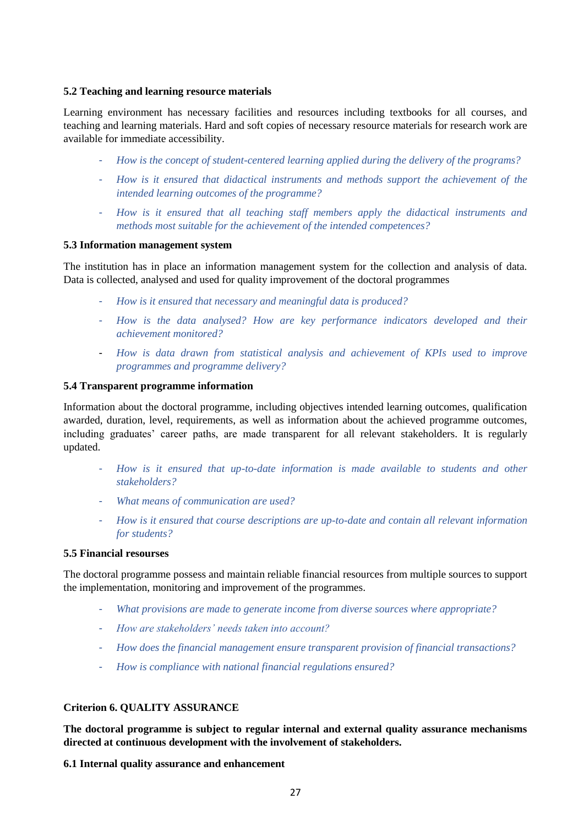# **5.2 Teaching and learning resource materials**

Learning environment has necessary facilities and resources including textbooks for all courses, and teaching and learning materials. Hard and soft copies of necessary resource materials for research work are available for immediate accessibility.

- *How is the concept of student-centered learning applied during the delivery of the programs?*
- *How is it ensured that didactical instruments and methods support the achievement of the intended learning outcomes of the programme?*
- *How is it ensured that all teaching staff members apply the didactical instruments and methods most suitable for the achievement of the intended competences?*

#### **5.3 Information management system**

The institution has in place an information management system for the collection and analysis of data. Data is collected, analysed and used for quality improvement of the doctoral programmes

- *How is it ensured that necessary and meaningful data is produced?*
- *How is the data analysed? How are key performance indicators developed and their achievement monitored?*
- *How is data drawn from statistical analysis and achievement of KPIs used to improve programmes and programme delivery?*

## **5.4 Transparent programme information**

Information about the doctoral programme, including objectives intended learning outcomes, qualification awarded, duration, level, requirements, as well as information about the achieved programme outcomes, including graduates' career paths, are made transparent for all relevant stakeholders. It is regularly updated.

- *How is it ensured that up-to-date information is made available to students and other stakeholders?*
- *What means of communication are used?*
- *How is it ensured that course descriptions are up-to-date and contain all relevant information for students?*

# **5.5 Financial resourses**

The doctoral programme possess and maintain reliable financial resources from multiple sources to support the implementation, monitoring and improvement of the programmes.

- *What provisions are made to generate income from diverse sources where appropriate?*
- *How are stakeholders' needs taken into account?*
- *How does the financial management ensure transparent provision of financial transactions?*
- *How is compliance with national financial regulations ensured?*

## **Criterion 6. QUALITY ASSURANCE**

**The doctoral programme is subject to regular internal and external quality assurance mechanisms directed at continuous development with the involvement of stakeholders.**

## **6.1 Internal quality assurance and enhancement**